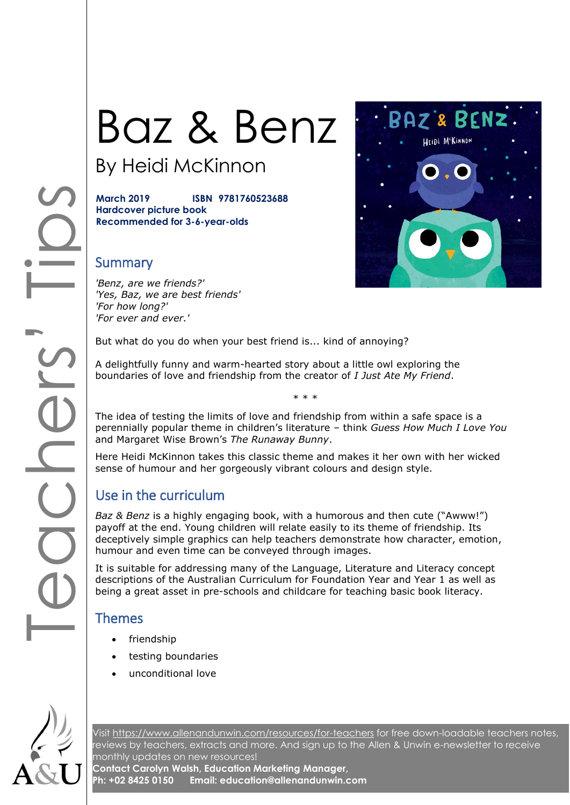# Baz & Benz

By Heidi McKinnon

**March 2019 ISBN 9781760523688 Hardcover picture book Recommended for 3-6-year-olds**

#### **Summary**

*'Benz, are we friends?' 'Yes, Baz, we are best friends' 'For how long?' 'For ever and ever.'*

But what do you do when your best friend is... kind of annoying?

A delightfully funny and warm-hearted story about a little owl exploring the boundaries of love and friendship from the creator of *I Just Ate My Friend*.

The idea of testing the limits of love and friendship from within a safe space is a perennially popular theme in children's literature – think *Guess How Much I Love You* and Margaret Wise Brown's *The Runaway Bunny*.

\* \* \*

Here Heidi McKinnon takes this classic theme and makes it her own with her wicked sense of humour and her gorgeously vibrant colours and design style.

## Use in the curriculum

*Baz & Benz* is a highly engaging book, with a humorous and then cute ("Awww!") payoff at the end. Young children will relate easily to its theme of friendship. Its deceptively simple graphics can help teachers demonstrate how character, emotion, humour and even time can be conveyed through images.

It is suitable for addressing many of the Language, Literature and Literacy concept descriptions of the Australian Curriculum for Foundation Year and Year 1 as well as being a great asset in pre-schools and childcare for teaching basic book literacy.

#### Themes

- friendship
- testing boundaries
- unconditional love



Visit<https://www.allenandunwin.com/resources/for-teachers> for free down-loadable teachers notes, reviews by teachers, extracts and more. And sign up to the Allen & Unwin e-newsletter to receive monthly updates on new resources!

**Contact Carolyn Walsh, Education Marketing Manager, Ph: +02 8425 0150 Email: education@allenandunwin.com**

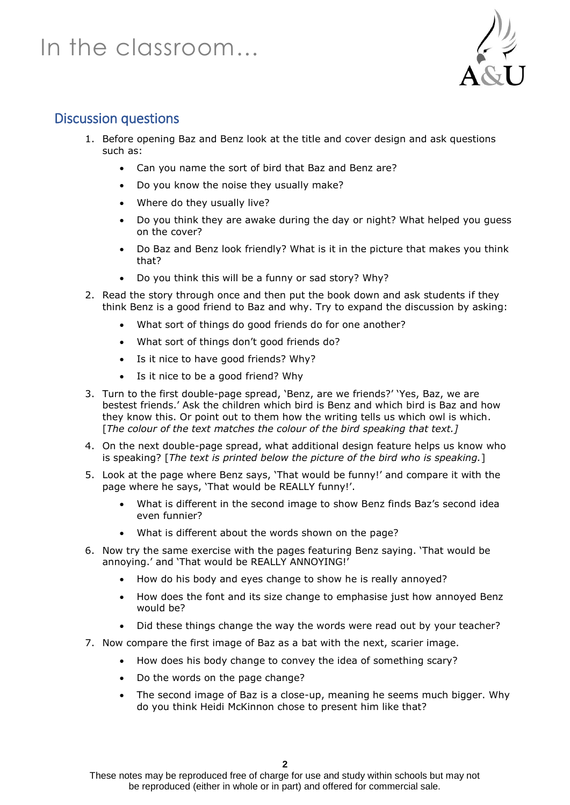# In the classroom…



## Discussion questions

- 1. Before opening Baz and Benz look at the title and cover design and ask questions such as:
	- Can you name the sort of bird that Baz and Benz are?
	- Do you know the noise they usually make?
	- Where do they usually live?
	- Do you think they are awake during the day or night? What helped you guess on the cover?
	- Do Baz and Benz look friendly? What is it in the picture that makes you think that?
	- Do you think this will be a funny or sad story? Why?
- 2. Read the story through once and then put the book down and ask students if they think Benz is a good friend to Baz and why. Try to expand the discussion by asking:
	- What sort of things do good friends do for one another?
	- What sort of things don't good friends do?
	- Is it nice to have good friends? Why?
	- Is it nice to be a good friend? Why
- 3. Turn to the first double-page spread, 'Benz, are we friends?' 'Yes, Baz, we are bestest friends.' Ask the children which bird is Benz and which bird is Baz and how they know this. Or point out to them how the writing tells us which owl is which. [*The colour of the text matches the colour of the bird speaking that text.]*
- 4. On the next double-page spread, what additional design feature helps us know who is speaking? [*The text is printed below the picture of the bird who is speaking.*]
- 5. Look at the page where Benz says, 'That would be funny!' and compare it with the page where he says, 'That would be REALLY funny!'.
	- What is different in the second image to show Benz finds Baz's second idea even funnier?
	- What is different about the words shown on the page?
- 6. Now try the same exercise with the pages featuring Benz saying. 'That would be annoying.' and 'That would be REALLY ANNOYING!'
	- How do his body and eyes change to show he is really annoyed?
	- How does the font and its size change to emphasise just how annoyed Benz would be?
	- Did these things change the way the words were read out by your teacher?
- 7. Now compare the first image of Baz as a bat with the next, scarier image.
	- How does his body change to convey the idea of something scary?
	- Do the words on the page change?
	- The second image of Baz is a close-up, meaning he seems much bigger. Why do you think Heidi McKinnon chose to present him like that?